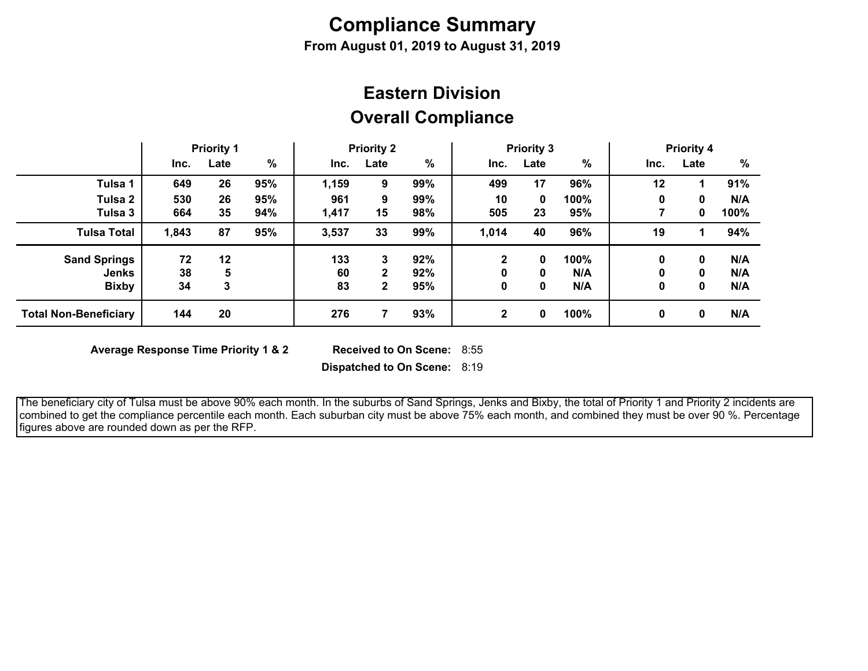# **Compliance Summary**

**From August 01, 2019 to August 31, 2019**

## **Overall Compliance Eastern Division**

|                              | <b>Priority 1</b> |      | <b>Priority 2</b> |       | <b>Priority 3</b> |     |                |      | <b>Priority 4</b> |          |          |      |
|------------------------------|-------------------|------|-------------------|-------|-------------------|-----|----------------|------|-------------------|----------|----------|------|
|                              | Inc.              | Late | %                 | Inc.  | Late              | %   | Inc.           | Late | %                 | Inc.     | Late     | %    |
| Tulsa 1                      | 649               | 26   | 95%               | 1,159 | 9                 | 99% | 499            | 17   | 96%               | 12       |          | 91%  |
| Tulsa 2                      | 530               | 26   | 95%               | 961   | 9                 | 99% | 10             | 0    | 100%              | 0        | 0        | N/A  |
| Tulsa 3                      | 664               | 35   | 94%               | 1,417 | 15                | 98% | 505            | 23   | 95%               |          | 0        | 100% |
| <b>Tulsa Total</b>           | 1,843             | 87   | 95%               | 3,537 | 33                | 99% | 1,014          | 40   | 96%               | 19       |          | 94%  |
| <b>Sand Springs</b>          | 72                | 12   |                   | 133   | 3                 | 92% | 2              | 0    | 100%              | $\bf{0}$ | 0        | N/A  |
| <b>Jenks</b>                 | 38                | 5    |                   | 60    | 2                 | 92% | 0              | 0    | N/A               | 0        | 0        | N/A  |
| <b>Bixby</b>                 | 34                | 3    |                   | 83    | $\mathbf{2}$      | 95% | 0              | 0    | N/A               | 0        | 0        | N/A  |
| <b>Total Non-Beneficiary</b> | 144               | 20   |                   | 276   |                   | 93% | $\overline{2}$ | 0    | 100%              | 0        | $\Omega$ | N/A  |

**Average Response Time Priority 1 & 2** 

Received to On Scene: 8:55

**Dispatched to On Scene:** 8:19

 The beneficiary city of Tulsa must be above 90% each month. In the suburbs of Sand Springs, Jenks and Bixby, the total of Priority 1 and Priority 2 incidents are combined to get the compliance percentile each month. Each suburban city must be above 75% each month, and combined they must be over 90 %. Percentage figures above are rounded down as per the RFP.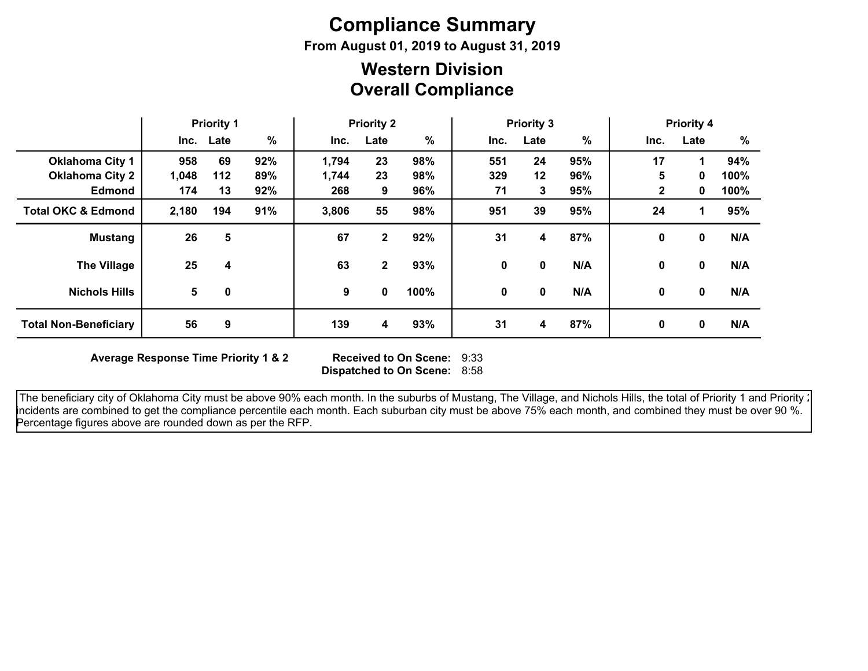# **Compliance Summary**

**From August 01, 2019 to August 31, 2019**

### **Overall Compliance Western Division**

|                               | <b>Priority 1</b> |           | <b>Priority 2</b> |       | <b>Priority 3</b> |      |      |         | <b>Priority 4</b> |              |              |      |
|-------------------------------|-------------------|-----------|-------------------|-------|-------------------|------|------|---------|-------------------|--------------|--------------|------|
|                               |                   | Inc. Late | %                 | Inc.  | Late              | %    | Inc. | Late    | $\%$              | Inc.         | Late         | %    |
| <b>Oklahoma City 1</b>        | 958               | 69        | 92%               | 1,794 | 23                | 98%  | 551  | 24      | 95%               | 17           | 1            | 94%  |
| <b>Oklahoma City 2</b>        | 1,048             | 112       | 89%               | 1,744 | 23                | 98%  | 329  | $12 \,$ | 96%               | 5            | 0            | 100% |
| <b>Edmond</b>                 | 174               | 13        | 92%               | 268   | 9                 | 96%  | 71   | 3       | 95%               | $\mathbf{2}$ | 0            | 100% |
| <b>Total OKC &amp; Edmond</b> | 2,180             | 194       | 91%               | 3,806 | 55                | 98%  | 951  | 39      | 95%               | 24           | 1            | 95%  |
| <b>Mustang</b>                | 26                | 5         |                   | 67    | $\mathbf{2}$      | 92%  | 31   | 4       | 87%               | 0            | 0            | N/A  |
| <b>The Village</b>            | 25                | 4         |                   | 63    | $\mathbf{2}$      | 93%  | 0    | 0       | N/A               | 0            | 0            | N/A  |
| <b>Nichols Hills</b>          | 5                 | 0         |                   | 9     | 0                 | 100% | 0    | 0       | N/A               | 0            | $\mathbf{0}$ | N/A  |
| <b>Total Non-Beneficiary</b>  | 56                | 9         |                   | 139   | 4                 | 93%  | 31   | 4       | 87%               | 0            | 0            | N/A  |

**Average Response Time Priority 1 & 2** 

**Dispatched to On Scene:** 8:58 Received to On Scene: 9:33

The beneficiary city of Oklahoma City must be above 90% each month. In the suburbs of Mustang, The Village, and Nichols Hills, the total of Priority 1 and Priority : incidents are combined to get the compliance percentile each month. Each suburban city must be above 75% each month, and combined they must be over 90 %. Percentage figures above are rounded down as per the RFP.